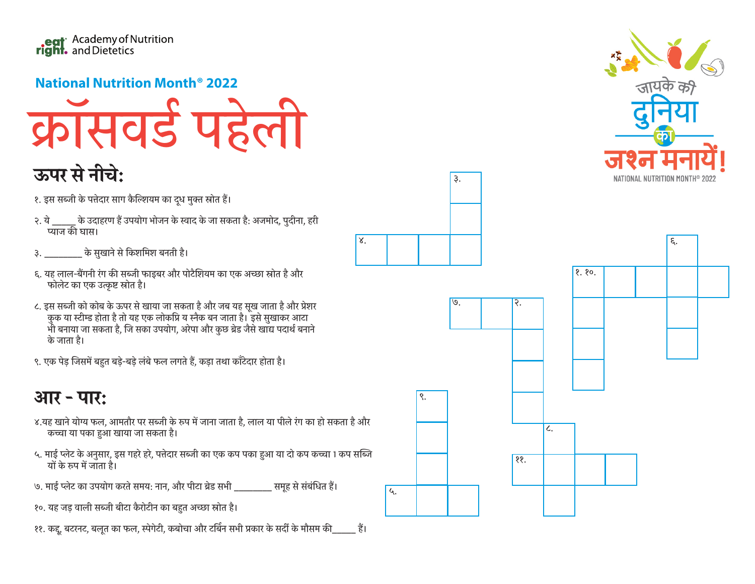

## **National Nutrition Month<sup>®</sup> 2022**



## ऊपर से नीचे:

- १. इस सब्जी के पत्तेदार साग कैल्शियम का दूध मुक्त स्रोत हैं।
- २. ये \_\_\_\_\_ के उदाहरण हैं उपयोग भोजन के स्वाद के जा सकता है: अजमोद, पुदीना, हरी प्याज की घास।
- ३. \_\_\_\_\_\_\_\_ के सुखाने से किशमिश बनती है।
- ६. यह लाल-बैंगनी रंग की सब्जी फाइबर और पोटैशियम का एक अच्छा स्रोत है और फोलेट का एक उत्कृष्ट स्रोत है।
- ८. इस सब्जी को कोब के ऊपर से खाया जा सकता है और जब यह सूख जाता है और प्रेशर .<br>कुक या स्टीम्ड होता है तो यह एक लोकप्रि य स्नैक बन जाता है। इसे सुखाकर आटा<br>भी बनाया जा सकता है, जि सका उपयोग, अरेपा और कुछ ब्रेड जैसे खाद्य पदार्थ बनाने के जाता है।
- ९. एक पेड़ जिसमें बहुत बड़े-बड़े लंबे फल लगते हैं, कड़ा तथा कॉटेदार होता है।

## आर - पार:

- ४.यह खाने योग्य फल, आमतौर पर सब्जी के रूप में जाना जाता है, लाल या पीले रंग का हो सकता है और कच्चा या पका हुआ खाया जा सकता है।
- ५. माई प्लेट के अनुसार, इस गहरे हरे, पत्तेदार सब्जी का एक कप पका हुआ या दो कप कच्चा 1 कप सब्जि यों के रूप में जाता है।
- '७. माई प्लेट का उपयोग करते समय: नान, और पीटा ब्रेड सभी \_\_\_\_\_\_\_\_ समूह से संबंधित हैं।
- १०. यह जड़ वाली सब्जी बीटा कैरोटीन का बहुत अच्छा स्रोत है।
- ११. कद्द, बटरनट, बलुत का फल, स्पेगेटी, कबोचा और टर्बिन सभी प्रकार के सर्दी के मौसम की बांध





3.

४.